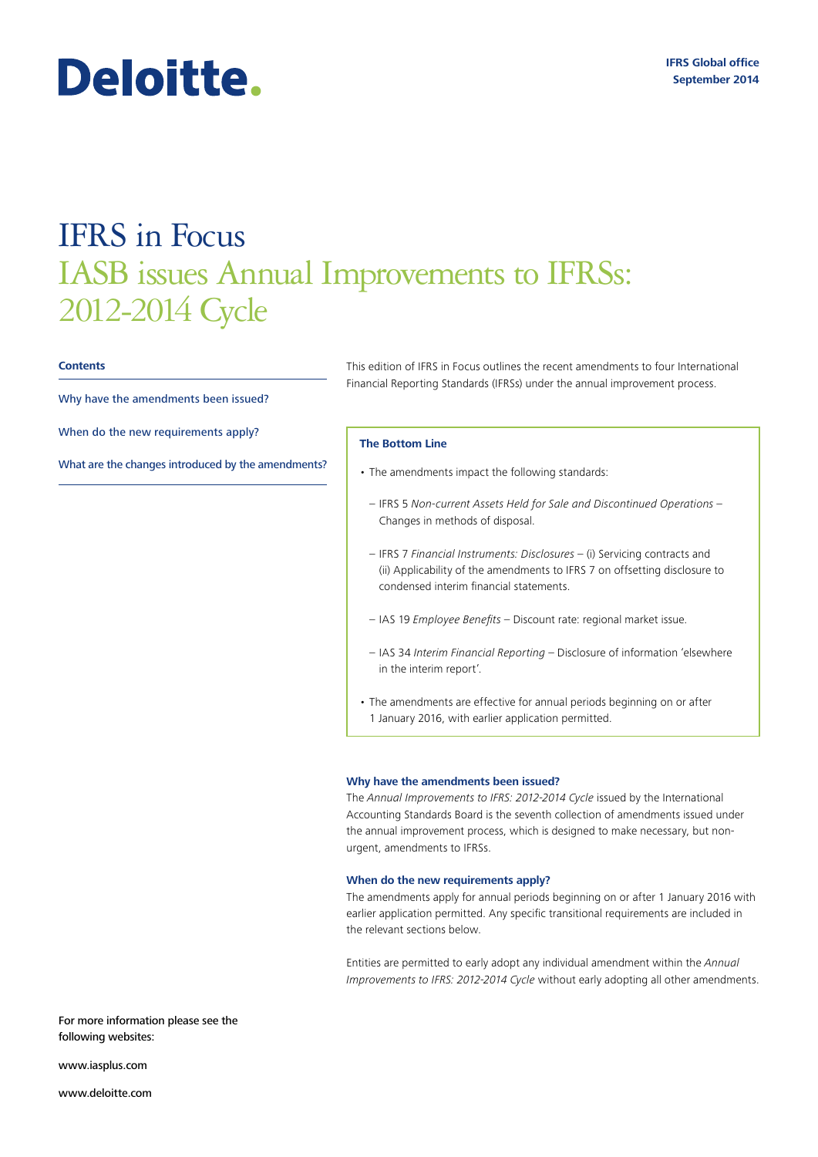# IFRS in Focus IASB issues Annual Improvements to IFRSs: 2012-2014 Cycle

### **Contents**

Why have the amendments been issued?

Deloitte.

When do the new requirements apply?

[What are the changes introduced by the amendments?](#page-1-0)

This edition of IFRS in Focus outlines the recent amendments to four International Financial Reporting Standards (IFRSs) under the annual improvement process.

# **The Bottom Line**

- The amendments impact the following standards:
- IFRS 5 *Non-current Assets Held for Sale and Discontinued Operations* Changes in methods of disposal.
- IFRS 7 *Financial Instruments: Disclosures* (i) Servicing contracts and (ii) Applicability of the amendments to IFRS 7 on offsetting disclosure to condensed interim financial statements.
- IAS 19 *Employee Benefits* Discount rate: regional market issue.
- IAS 34 *Interim Financial Reporting* Disclosure of information 'elsewhere in the interim report'.
- The amendments are effective for annual periods beginning on or after 1 January 2016, with earlier application permitted.

#### **Why have the amendments been issued?**

The *Annual Improvements to IFRS: 2012-2014 Cycle* issued by the International Accounting Standards Board is the seventh collection of amendments issued under the annual improvement process, which is designed to make necessary, but nonurgent, amendments to IFRSs.

## **When do the new requirements apply?**

The amendments apply for annual periods beginning on or after 1 January 2016 with earlier application permitted. Any specific transitional requirements are included in the relevant sections below.

Entities are permitted to early adopt any individual amendment within the *Annual Improvements to IFRS: 2012-2014 Cycle* without early adopting all other amendments.

For more information please see the following websites:

<www.iasplus.com>

<www.deloitte.com>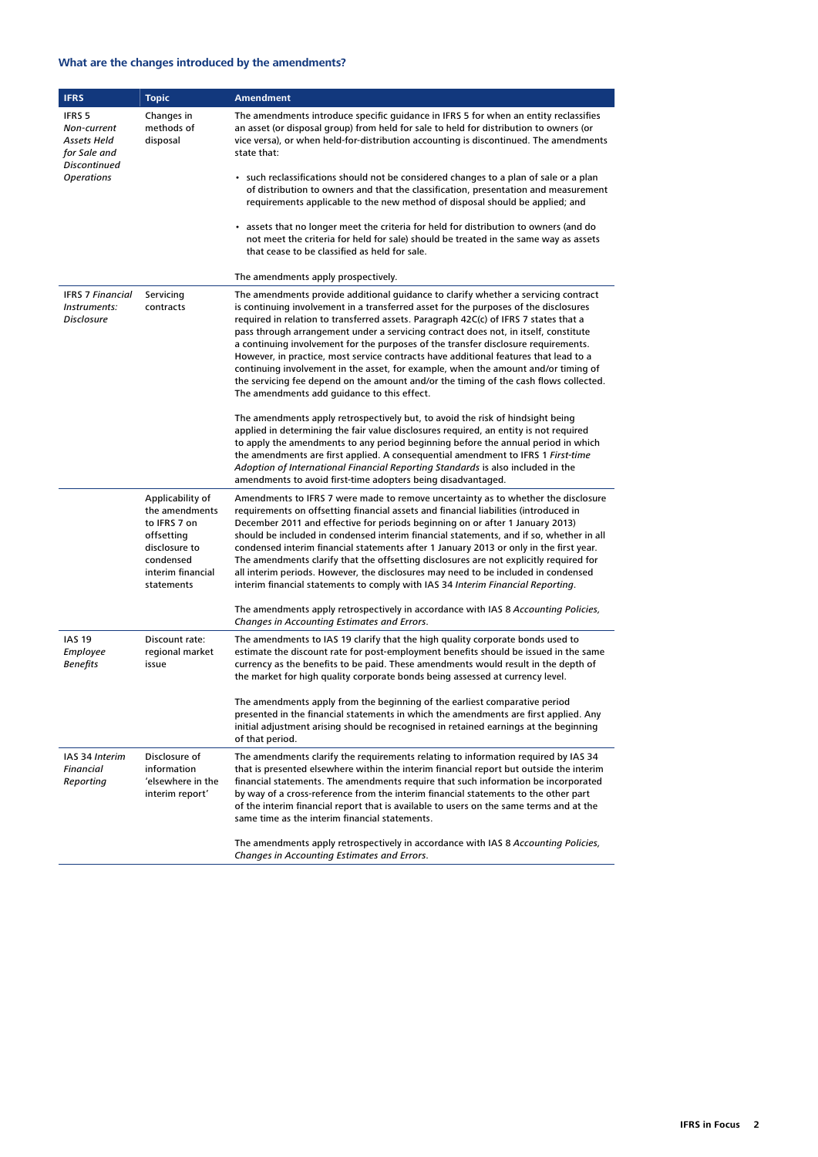# <span id="page-1-0"></span>**What are the changes introduced by the amendments?**

| <b>IFRS</b>                                                                               | <b>Topic</b>                                                                                                                      | <b>Amendment</b>                                                                                                                                                                                                                                                                                                                                                                                                                                                                                                                                                                                                                                                                                                                                                      |
|-------------------------------------------------------------------------------------------|-----------------------------------------------------------------------------------------------------------------------------------|-----------------------------------------------------------------------------------------------------------------------------------------------------------------------------------------------------------------------------------------------------------------------------------------------------------------------------------------------------------------------------------------------------------------------------------------------------------------------------------------------------------------------------------------------------------------------------------------------------------------------------------------------------------------------------------------------------------------------------------------------------------------------|
| IFRS 5<br>Non-current<br>Assets Held<br>for Sale and<br>Discontinued<br><b>Operations</b> | Changes in<br>methods of<br>disposal                                                                                              | The amendments introduce specific guidance in IFRS 5 for when an entity reclassifies<br>an asset (or disposal group) from held for sale to held for distribution to owners (or<br>vice versa), or when held-for-distribution accounting is discontinued. The amendments<br>state that:<br>• such reclassifications should not be considered changes to a plan of sale or a plan<br>of distribution to owners and that the classification, presentation and measurement<br>requirements applicable to the new method of disposal should be applied; and                                                                                                                                                                                                                |
|                                                                                           |                                                                                                                                   | • assets that no longer meet the criteria for held for distribution to owners (and do<br>not meet the criteria for held for sale) should be treated in the same way as assets<br>that cease to be classified as held for sale.                                                                                                                                                                                                                                                                                                                                                                                                                                                                                                                                        |
|                                                                                           |                                                                                                                                   | The amendments apply prospectively.                                                                                                                                                                                                                                                                                                                                                                                                                                                                                                                                                                                                                                                                                                                                   |
| <b>IFRS 7 Financial</b><br>Instruments:<br><b>Disclosure</b>                              | Servicing<br>contracts                                                                                                            | The amendments provide additional guidance to clarify whether a servicing contract<br>is continuing involvement in a transferred asset for the purposes of the disclosures<br>required in relation to transferred assets. Paragraph 42C(c) of IFRS 7 states that a<br>pass through arrangement under a servicing contract does not, in itself, constitute<br>a continuing involvement for the purposes of the transfer disclosure requirements.<br>However, in practice, most service contracts have additional features that lead to a<br>continuing involvement in the asset, for example, when the amount and/or timing of<br>the servicing fee depend on the amount and/or the timing of the cash flows collected.<br>The amendments add quidance to this effect. |
|                                                                                           |                                                                                                                                   | The amendments apply retrospectively but, to avoid the risk of hindsight being<br>applied in determining the fair value disclosures required, an entity is not required<br>to apply the amendments to any period beginning before the annual period in which<br>the amendments are first applied. A consequential amendment to IFRS 1 First-time<br>Adoption of International Financial Reporting Standards is also included in the<br>amendments to avoid first-time adopters being disadvantaged.                                                                                                                                                                                                                                                                   |
|                                                                                           | Applicability of<br>the amendments<br>to IFRS 7 on<br>offsetting<br>disclosure to<br>condensed<br>interim financial<br>statements | Amendments to IFRS 7 were made to remove uncertainty as to whether the disclosure<br>requirements on offsetting financial assets and financial liabilities (introduced in<br>December 2011 and effective for periods beginning on or after 1 January 2013)<br>should be included in condensed interim financial statements, and if so, whether in all<br>condensed interim financial statements after 1 January 2013 or only in the first year.<br>The amendments clarify that the offsetting disclosures are not explicitly required for<br>all interim periods. However, the disclosures may need to be included in condensed<br>interim financial statements to comply with IAS 34 Interim Financial Reporting.                                                    |
|                                                                                           |                                                                                                                                   | The amendments apply retrospectively in accordance with IAS 8 Accounting Policies,<br>Changes in Accounting Estimates and Errors.                                                                                                                                                                                                                                                                                                                                                                                                                                                                                                                                                                                                                                     |
| <b>IAS 19</b><br>Employee<br>Benefits                                                     | Discount rate:<br>regional market<br>issue                                                                                        | The amendments to IAS 19 clarify that the high quality corporate bonds used to<br>estimate the discount rate for post-employment benefits should be issued in the same<br>currency as the benefits to be paid. These amendments would result in the depth of<br>the market for high quality corporate bonds being assessed at currency level.                                                                                                                                                                                                                                                                                                                                                                                                                         |
|                                                                                           |                                                                                                                                   | The amendments apply from the beginning of the earliest comparative period<br>presented in the financial statements in which the amendments are first applied. Any<br>initial adjustment arising should be recognised in retained earnings at the beginning<br>of that period.                                                                                                                                                                                                                                                                                                                                                                                                                                                                                        |
| IAS 34 Interim<br>Financial<br>Reporting                                                  | Disclosure of<br>information<br>'elsewhere in the<br>interim report'                                                              | The amendments clarify the requirements relating to information required by IAS 34<br>that is presented elsewhere within the interim financial report but outside the interim<br>financial statements. The amendments require that such information be incorporated<br>by way of a cross-reference from the interim financial statements to the other part<br>of the interim financial report that is available to users on the same terms and at the<br>same time as the interim financial statements.                                                                                                                                                                                                                                                               |
|                                                                                           |                                                                                                                                   | The amendments apply retrospectively in accordance with IAS 8 Accounting Policies,<br>Changes in Accounting Estimates and Errors.                                                                                                                                                                                                                                                                                                                                                                                                                                                                                                                                                                                                                                     |